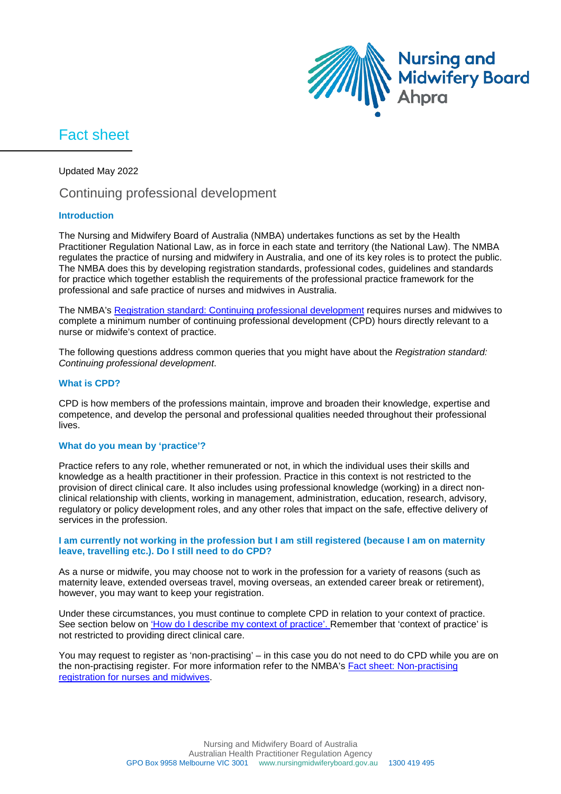

# Fact sheet

Updated May 2022

# Continuing professional development

# **Introduction**

The Nursing and Midwifery Board of Australia (NMBA) undertakes functions as set by the Health Practitioner Regulation National Law, as in force in each state and territory (the National Law). The NMBA regulates the practice of nursing and midwifery in Australia, and one of its key roles is to protect the public. The NMBA does this by developing registration standards, professional codes, guidelines and standards for practice which together establish the requirements of the professional practice framework for the professional and safe practice of nurses and midwives in Australia.

The NMBA's [Registration standard: Continuing professional development](http://www.nursingmidwiferyboard.gov.au/Registration-Standards.aspx) requires nurses and midwives to complete a minimum number of continuing professional development (CPD) hours directly relevant to a nurse or midwife's context of practice.

The following questions address common queries that you might have about the *Registration standard: Continuing professional development*.

### **What is CPD?**

CPD is how members of the professions maintain, improve and broaden their knowledge, expertise and competence, and develop the personal and professional qualities needed throughout their professional lives.

#### **What do you mean by 'practice'?**

Practice refers to any role, whether remunerated or not, in which the individual uses their skills and knowledge as a health practitioner in their profession. Practice in this context is not restricted to the provision of direct clinical care. It also includes using professional knowledge (working) in a direct nonclinical relationship with clients, working in management, administration, education, research, advisory, regulatory or policy development roles, and any other roles that impact on the safe, effective delivery of services in the profession.

#### **I am currently not working in the profession but I am still registered (because I am on maternity leave, travelling etc.). Do I still need to do CPD?**

As a nurse or midwife, you may choose not to work in the profession for a variety of reasons (such as maternity leave, extended overseas travel, moving overseas, an extended career break or retirement), however, you may want to keep your registration.

Under these circumstances, you must continue to complete CPD in relation to your context of practice. See section below on ['How do I describe my context of](#page-1-0) practice'. Remember that 'context of practice' is not restricted to providing direct clinical care.

You may request to register as 'non-practising' – in this case you do not need to do CPD while you are on the non-practising register. For more information refer to the NMBA's [Fact sheet: Non-practising](http://www.nursingmidwiferyboard.gov.au/Codes-Guidelines-Statements/FAQ/Non-practising-registration-for-nurses-and-midwives.aspx)  [registration for nurses and midwives.](http://www.nursingmidwiferyboard.gov.au/Codes-Guidelines-Statements/FAQ/Non-practising-registration-for-nurses-and-midwives.aspx)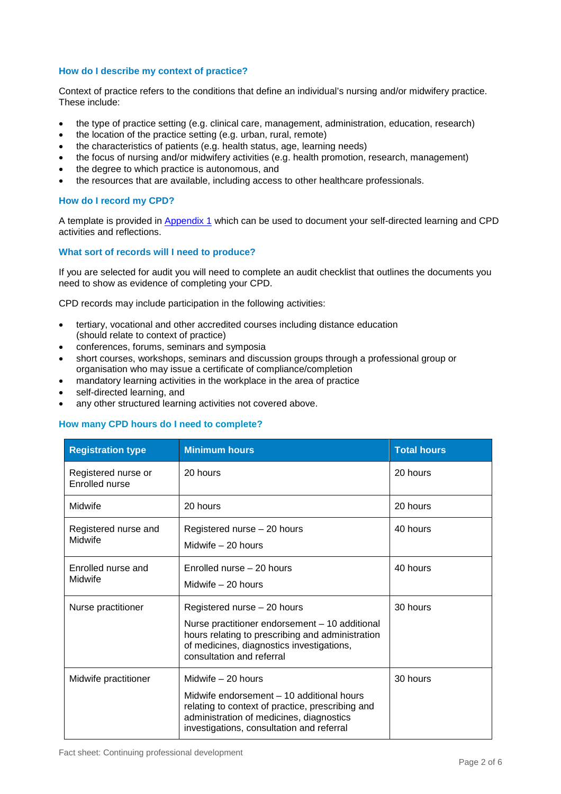# <span id="page-1-0"></span>**How do I describe my context of practice?**

Context of practice refers to the conditions that define an individual's nursing and/or midwifery practice. These include:

- the type of practice setting (e.g. clinical care, management, administration, education, research)
- the location of the practice setting (e.g. urban, rural, remote)
- the characteristics of patients (e.g. health status, age, learning needs)
- the focus of nursing and/or midwifery activities (e.g. health promotion, research, management)
- the degree to which practice is autonomous, and
- the resources that are available, including access to other healthcare professionals.

# **How do I record my CPD?**

A template is provided in [Appendix 1](#page-5-0) which can be used to document your self-directed learning and CPD activities and reflections.

### **What sort of records will I need to produce?**

If you are selected for audit you will need to complete an audit checklist that outlines the documents you need to show as evidence of completing your CPD.

CPD records may include participation in the following activities:

- tertiary, vocational and other accredited courses including distance education (should relate to context of practice)
- conferences, forums, seminars and symposia
- short courses, workshops, seminars and discussion groups through a professional group or organisation who may issue a certificate of compliance/completion
- mandatory learning activities in the workplace in the area of practice
- self-directed learning, and
- any other structured learning activities not covered above.

# **How many CPD hours do I need to complete?**

| <b>Registration type</b>                     | <b>Minimum hours</b>                                                                                                                                                                                          | <b>Total hours</b> |
|----------------------------------------------|---------------------------------------------------------------------------------------------------------------------------------------------------------------------------------------------------------------|--------------------|
| Registered nurse or<br><b>Enrolled nurse</b> | 20 hours                                                                                                                                                                                                      | 20 hours           |
| Midwife                                      | 20 hours                                                                                                                                                                                                      | 20 hours           |
| Registered nurse and<br>Midwife              | Registered nurse - 20 hours<br>Midwife $-20$ hours                                                                                                                                                            | 40 hours           |
| Enrolled nurse and<br>Midwife                | Enrolled nurse $-20$ hours<br>Midwife $-20$ hours                                                                                                                                                             | 40 hours           |
| Nurse practitioner                           | Registered nurse - 20 hours<br>Nurse practitioner endorsement - 10 additional<br>hours relating to prescribing and administration<br>of medicines, diagnostics investigations,<br>consultation and referral   | 30 hours           |
| Midwife practitioner                         | Midwife $-20$ hours<br>Midwife endorsement - 10 additional hours<br>relating to context of practice, prescribing and<br>administration of medicines, diagnostics<br>investigations, consultation and referral | 30 hours           |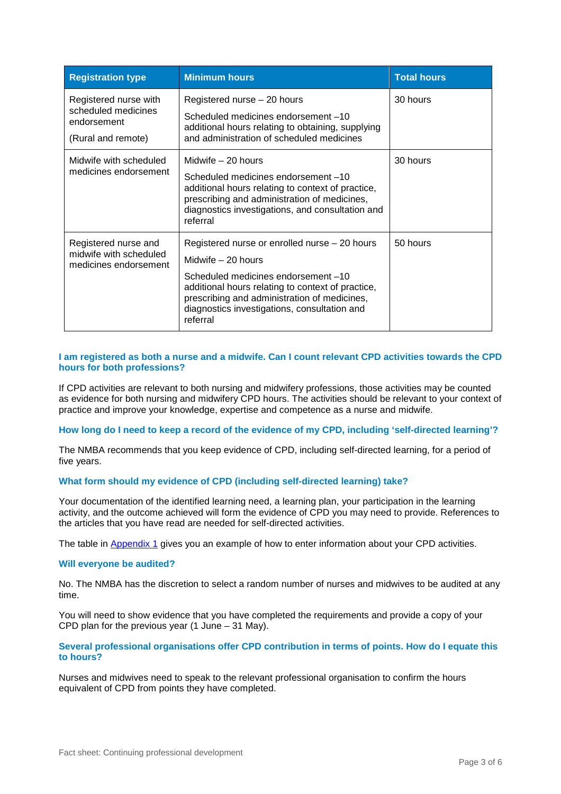| <b>Registration type</b>                                                          | <b>Minimum hours</b>                                                                                                                                                                                                                                                        | <b>Total hours</b> |
|-----------------------------------------------------------------------------------|-----------------------------------------------------------------------------------------------------------------------------------------------------------------------------------------------------------------------------------------------------------------------------|--------------------|
| Registered nurse with<br>scheduled medicines<br>endorsement<br>(Rural and remote) | Registered nurse - 20 hours<br>Scheduled medicines endorsement -10<br>additional hours relating to obtaining, supplying<br>and administration of scheduled medicines                                                                                                        | 30 hours           |
| Midwife with scheduled<br>medicines endorsement                                   | Midwife - 20 hours<br>Scheduled medicines endorsement -10<br>additional hours relating to context of practice,<br>prescribing and administration of medicines,<br>diagnostics investigations, and consultation and<br>referral                                              | 30 hours           |
| Registered nurse and<br>midwife with scheduled<br>medicines endorsement           | Registered nurse or enrolled nurse - 20 hours<br>Midwife - 20 hours<br>Scheduled medicines endorsement -10<br>additional hours relating to context of practice,<br>prescribing and administration of medicines,<br>diagnostics investigations, consultation and<br>referral | 50 hours           |

# **I am registered as both a nurse and a midwife. Can I count relevant CPD activities towards the CPD hours for both professions?**

If CPD activities are relevant to both nursing and midwifery professions, those activities may be counted as evidence for both nursing and midwifery CPD hours. The activities should be relevant to your context of practice and improve your knowledge, expertise and competence as a nurse and midwife.

#### **How long do I need to keep a record of the evidence of my CPD, including 'self-directed learning'?**

The NMBA recommends that you keep evidence of CPD, including self-directed learning, for a period of five years.

# **What form should my evidence of CPD (including self-directed learning) take?**

Your documentation of the identified learning need, a learning plan, your participation in the learning activity, and the outcome achieved will form the evidence of CPD you may need to provide. References to the articles that you have read are needed for self-directed activities.

The table in [Appendix 1](#page-5-0) gives you an example of how to enter information about your CPD activities.

#### **Will everyone be audited?**

No. The NMBA has the discretion to select a random number of nurses and midwives to be audited at any time.

You will need to show evidence that you have completed the requirements and provide a copy of your CPD plan for the previous year (1 June  $-$  31 May).

#### **Several professional organisations offer CPD contribution in terms of points. How do I equate this to hours?**

Nurses and midwives need to speak to the relevant professional organisation to confirm the hours equivalent of CPD from points they have completed.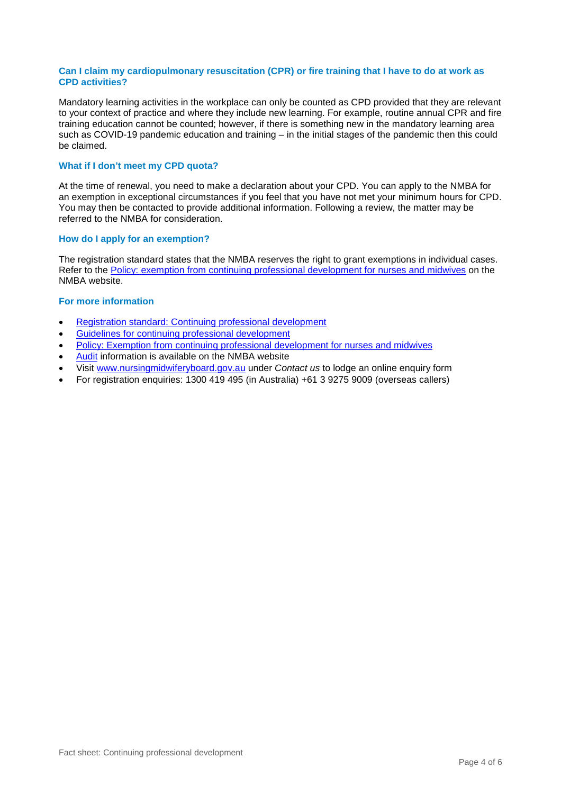#### **Can I claim my cardiopulmonary resuscitation (CPR) or fire training that I have to do at work as CPD activities?**

Mandatory learning activities in the workplace can only be counted as CPD provided that they are relevant to your context of practice and where they include new learning. For example, routine annual CPR and fire training education cannot be counted; however, if there is something new in the mandatory learning area such as COVID-19 pandemic education and training – in the initial stages of the pandemic then this could be claimed.

#### **What if I don't meet my CPD quota?**

At the time of renewal, you need to make a declaration about your CPD. You can apply to the NMBA for an exemption in exceptional circumstances if you feel that you have not met your minimum hours for CPD. You may then be contacted to provide additional information. Following a review, the matter may be referred to the NMBA for consideration.

### **How do I apply for an exemption?**

The registration standard states that the NMBA reserves the right to grant exemptions in individual cases. Refer to the [Policy: exemption from continuing professional development for nurses and midwives](http://www.nursingmidwiferyboard.gov.au/Codes-Guidelines-Statements/Policies/Policy-for-exemptions-from-CPD.aspx) on the NMBA website.

### **For more information**

- [Registration standard: Continuing professional development](http://www.nursingmidwiferyboard.gov.au/Registration-Standards.aspx)
- [Guidelines for continuing professional development](http://www.nursingmidwiferyboard.gov.au/Codes-Guidelines-Statements/Codes-Guidelines.aspx)
- [Policy: Exemption from continuing professional development for nurses and midwives](http://www.nursingmidwiferyboard.gov.au/Codes-Guidelines-Statements/Policies/Policy-for-exemptions-from-CPD.aspx)
- [Audit](http://www.nursingmidwiferyboard.gov.au/Registration-and-Endorsement/Audit.aspx) information is available on the NMBA website
- Visit [www.nursingmidwiferyboard.gov.au](http://www.nursingmidwiferyboard.gov.au/) under *Contact us* to lodge an online enquiry form
- For registration enquiries: 1300 419 495 (in Australia) +61 3 9275 9009 (overseas callers)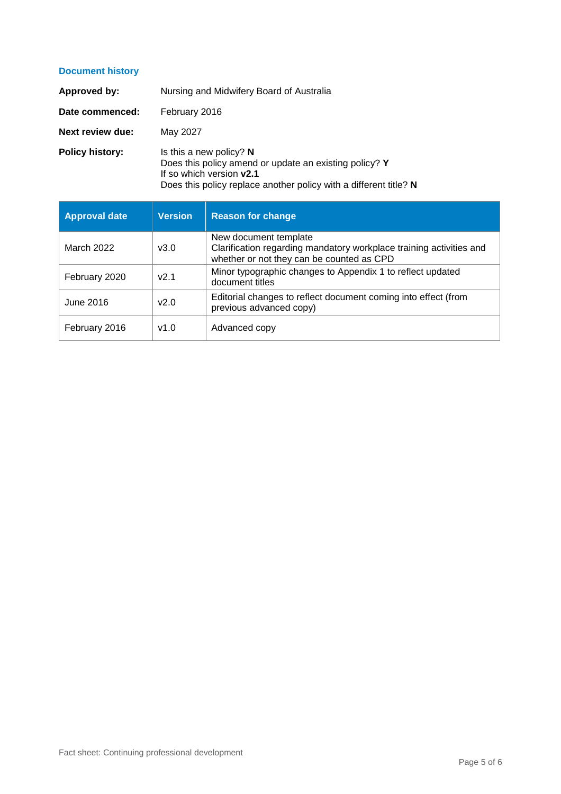# **Document history**

| Approved by:            | Nursing and Midwifery Board of Australia                                                                                                                                             |  |  |  |
|-------------------------|--------------------------------------------------------------------------------------------------------------------------------------------------------------------------------------|--|--|--|
| Date commenced:         | February 2016                                                                                                                                                                        |  |  |  |
| <b>Next review due:</b> | May 2027                                                                                                                                                                             |  |  |  |
| <b>Policy history:</b>  | Is this a new policy? $N$<br>Does this policy amend or update an existing policy? Y<br>If so which version v2.1<br>Does this policy replace another policy with a different title? N |  |  |  |

| <b>Approval date</b> | <b>Version</b> | <b>Reason for change</b>                                                                                                                  |
|----------------------|----------------|-------------------------------------------------------------------------------------------------------------------------------------------|
| March 2022           | v3.0           | New document template<br>Clarification regarding mandatory workplace training activities and<br>whether or not they can be counted as CPD |
| February 2020        | v2.1           | Minor typographic changes to Appendix 1 to reflect updated<br>document titles                                                             |
| June 2016            | v2.0           | Editorial changes to reflect document coming into effect (from<br>previous advanced copy)                                                 |
| February 2016        | v1.0           | Advanced copy                                                                                                                             |